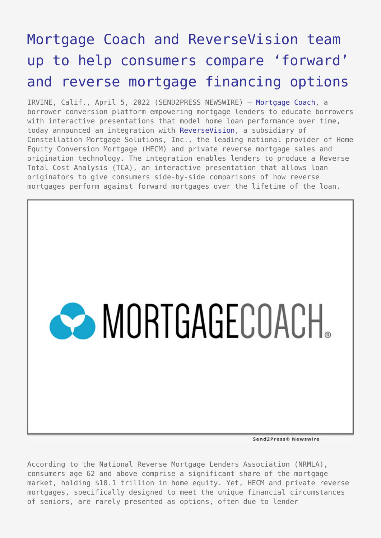## [Mortgage Coach and ReverseVision team](https://www.send2press.com/wire/mortgage-coach-and-reversevision-team-up-to-help-consumers-compare-forward-and-reverse-mortgage-financing-options/) [up to help consumers compare 'forward'](https://www.send2press.com/wire/mortgage-coach-and-reversevision-team-up-to-help-consumers-compare-forward-and-reverse-mortgage-financing-options/) [and reverse mortgage financing options](https://www.send2press.com/wire/mortgage-coach-and-reversevision-team-up-to-help-consumers-compare-forward-and-reverse-mortgage-financing-options/)

IRVINE, Calif., April 5, 2022 (SEND2PRESS NEWSWIRE) — [Mortgage Coach,](http://www.mortgagecoach.com/) a borrower conversion platform empowering mortgage lenders to educate borrowers with interactive presentations that model home loan performance over time, today announced an integration with [ReverseVision,](https://www.reversevision.com/) a subsidiary of Constellation Mortgage Solutions, Inc., the leading national provider of Home Equity Conversion Mortgage (HECM) and private reverse mortgage sales and origination technology. The integration enables lenders to produce a Reverse Total Cost Analysis (TCA), an interactive presentation that allows loan originators to give consumers side-by-side comparisons of how reverse mortgages perform against forward mortgages over the lifetime of the loan.



Send2Press® Newswire

According to the National Reverse Mortgage Lenders Association (NRMLA), consumers age 62 and above comprise a significant share of the mortgage market, holding \$10.1 trillion in home equity. Yet, HECM and private reverse mortgages, specifically designed to meet the unique financial circumstances of seniors, are rarely presented as options, often due to lender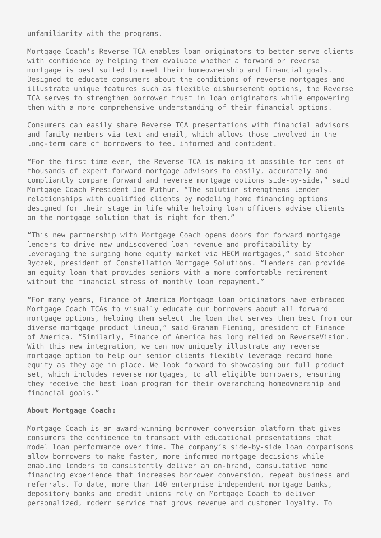unfamiliarity with the programs.

Mortgage Coach's Reverse TCA enables loan originators to better serve clients with confidence by helping them evaluate whether a forward or reverse mortgage is best suited to meet their homeownership and financial goals. Designed to educate consumers about the conditions of reverse mortgages and illustrate unique features such as flexible disbursement options, the Reverse TCA serves to strengthen borrower trust in loan originators while empowering them with a more comprehensive understanding of their financial options.

Consumers can easily share Reverse TCA presentations with financial advisors and family members via text and email, which allows those involved in the long-term care of borrowers to feel informed and confident.

"For the first time ever, the Reverse TCA is making it possible for tens of thousands of expert forward mortgage advisors to easily, accurately and compliantly compare forward and reverse mortgage options side-by-side," said Mortgage Coach President Joe Puthur. "The solution strengthens lender relationships with qualified clients by modeling home financing options designed for their stage in life while helping loan officers advise clients on the mortgage solution that is right for them."

"This new partnership with Mortgage Coach opens doors for forward mortgage lenders to drive new undiscovered loan revenue and profitability by leveraging the surging home equity market via HECM mortgages," said Stephen Ryczek, president of Constellation Mortgage Solutions. "Lenders can provide an equity loan that provides seniors with a more comfortable retirement without the financial stress of monthly loan repayment."

"For many years, Finance of America Mortgage loan originators have embraced Mortgage Coach TCAs to visually educate our borrowers about all forward mortgage options, helping them select the loan that serves them best from our diverse mortgage product lineup," said Graham Fleming, president of Finance of America. "Similarly, Finance of America has long relied on ReverseVision. With this new integration, we can now uniquely illustrate any reverse mortgage option to help our senior clients flexibly leverage record home equity as they age in place. We look forward to showcasing our full product set, which includes reverse mortgages, to all eligible borrowers, ensuring they receive the best loan program for their overarching homeownership and financial goals."

## **About Mortgage Coach:**

Mortgage Coach is an award-winning borrower conversion platform that gives consumers the confidence to transact with educational presentations that model loan performance over time. The company's side-by-side loan comparisons allow borrowers to make faster, more informed mortgage decisions while enabling lenders to consistently deliver an on-brand, consultative home financing experience that increases borrower conversion, repeat business and referrals. To date, more than 140 enterprise independent mortgage banks, depository banks and credit unions rely on Mortgage Coach to deliver personalized, modern service that grows revenue and customer loyalty. To